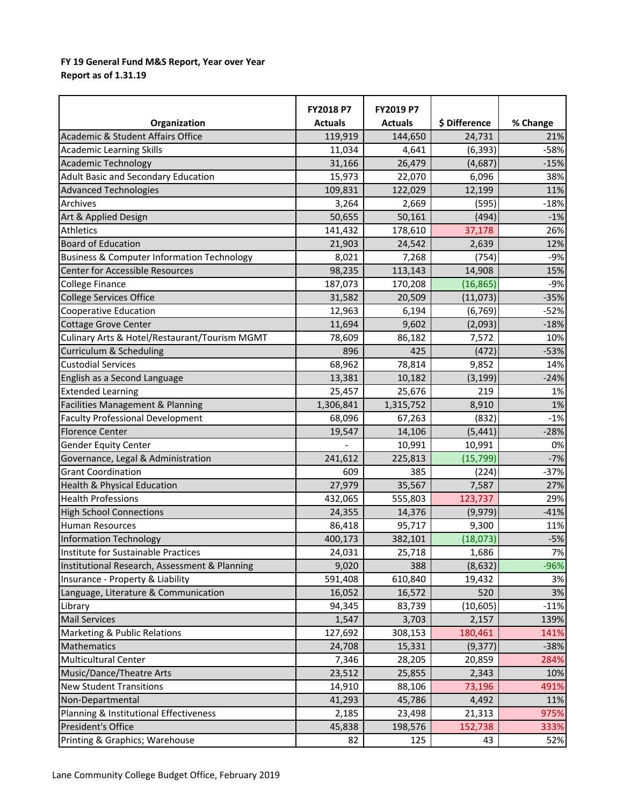## **FY 19 General Fund M&S Report, Year over Year Report as of 1.31.19**

| <b>Actuals</b><br>\$ Difference<br><b>Actuals</b><br>% Change<br>Organization<br>Academic & Student Affairs Office<br>21%<br>119,919<br>24,731<br>144,650<br><b>Academic Learning Skills</b><br>11,034<br>4,641<br>(6, 393)<br>-58%<br>31,166<br>26,479<br>(4,687)<br><b>Academic Technology</b><br>$-15%$<br>Adult Basic and Secondary Education<br>15,973<br>22,070<br>6,096<br>38%<br><b>Advanced Technologies</b><br>11%<br>109,831<br>12,199<br>122,029<br>Archives<br>3,264<br>2,669<br>(595)<br>$-18%$<br>50,655<br>Art & Applied Design<br>50,161<br>(494)<br>$-1%$<br><b>Athletics</b><br>141,432<br>26%<br>178,610<br>37,178<br><b>Board of Education</b><br>21,903<br>2,639<br>12%<br>24,542<br><b>Business &amp; Computer Information Technology</b><br>$-9%$<br>8,021<br>7,268<br>(754)<br><b>Center for Accessible Resources</b><br>98,235<br>113,143<br>15%<br>14,908<br>187,073<br>170,208<br>(16, 865)<br>$-9%$<br><b>College Finance</b><br><b>College Services Office</b><br>$-35%$<br>31,582<br>20,509<br>(11,073)<br><b>Cooperative Education</b><br>12,963<br>6,194<br>(6, 769)<br>$-52%$<br>$-18%$<br>Cottage Grove Center<br>11,694<br>9,602<br>(2,093)<br>Culinary Arts & Hotel/Restaurant/Tourism MGMT<br>78,609<br>7,572<br>10%<br>86,182<br>Curriculum & Scheduling<br>896<br>425<br>(472)<br>$-53%$<br><b>Custodial Services</b><br>68,962<br>78,814<br>9,852<br>14%<br>English as a Second Language<br>13,381<br>$-24%$<br>10,182<br>(3, 199)<br><b>Extended Learning</b><br>25,457<br>25,676<br>219<br>1%<br>Facilities Management & Planning<br>1,306,841<br>1%<br>1,315,752<br>8,910<br>$-1%$<br><b>Faculty Professional Development</b><br>68,096<br>67,263<br>(832)<br><b>Florence Center</b><br>19,547<br>(5, 441)<br>$-28%$<br>14,106<br><b>Gender Equity Center</b><br>10,991<br>10,991<br>0%<br>Governance, Legal & Administration<br>$-7%$<br>241,612<br>225,813<br>(15, 799)<br><b>Grant Coordination</b><br>609<br>385<br>(224)<br>$-37%$<br>27,979<br><b>Health &amp; Physical Education</b><br>35,567<br>7,587<br>27%<br><b>Health Professions</b><br>432,065<br>555,803<br>29%<br>123,737<br><b>High School Connections</b><br>24,355<br>14,376<br>$-41%$<br>(9, 979)<br>11%<br><b>Human Resources</b><br>86,418<br>95,717<br>9,300<br>Information Technology<br>$-5%$<br>400,173<br>382,101<br>(18, 073)<br>24,031<br>25,718<br>1,686<br>Institute for Sustainable Practices<br>$-96%$<br>Institutional Research, Assessment & Planning<br>9,020<br>388<br>(8,632)<br>Insurance - Property & Liability<br>591,408<br>610,840<br>19,432<br>3%<br>Language, Literature & Communication<br>3%<br>16,052<br>16,572<br>520<br>$-11%$<br>94,345<br>83,739<br>(10, 605)<br>Library<br><b>Mail Services</b><br>1,547<br>3,703<br>2,157<br>139%<br>Marketing & Public Relations<br>127,692<br>308,153<br>180,461<br>141%<br>Mathematics<br>24,708<br>15,331<br>(9, 377)<br><b>Multicultural Center</b><br>7,346<br>28,205<br>20,859<br>284%<br>Music/Dance/Theatre Arts<br>23,512<br>25,855<br>10%<br>2,343<br><b>New Student Transitions</b><br>14,910<br>88,106<br>73,196<br>491%<br>Non-Departmental<br>41,293<br>45,786<br>4,492<br>11%<br>Planning & Institutional Effectiveness<br>2,185<br>23,498<br>21,313<br>975%<br>President's Office<br>45,838<br>198,576<br>152,738<br>333% |                                | FY2018 P7 | FY2019 P7 |    |     |
|-------------------------------------------------------------------------------------------------------------------------------------------------------------------------------------------------------------------------------------------------------------------------------------------------------------------------------------------------------------------------------------------------------------------------------------------------------------------------------------------------------------------------------------------------------------------------------------------------------------------------------------------------------------------------------------------------------------------------------------------------------------------------------------------------------------------------------------------------------------------------------------------------------------------------------------------------------------------------------------------------------------------------------------------------------------------------------------------------------------------------------------------------------------------------------------------------------------------------------------------------------------------------------------------------------------------------------------------------------------------------------------------------------------------------------------------------------------------------------------------------------------------------------------------------------------------------------------------------------------------------------------------------------------------------------------------------------------------------------------------------------------------------------------------------------------------------------------------------------------------------------------------------------------------------------------------------------------------------------------------------------------------------------------------------------------------------------------------------------------------------------------------------------------------------------------------------------------------------------------------------------------------------------------------------------------------------------------------------------------------------------------------------------------------------------------------------------------------------------------------------------------------------------------------------------------------------------------------------------------------------------------------------------------------------------------------------------------------------------------------------------------------------------------------------------------------------------------------------------------------------------------------------------------------------------------------------------------------------------------------------------------------------------------------------------------------------------------------------------------------------------------------------------------------------------------------------------------------------------------------------------------------------------------------------------------------------------|--------------------------------|-----------|-----------|----|-----|
| $7%$                                                                                                                                                                                                                                                                                                                                                                                                                                                                                                                                                                                                                                                                                                                                                                                                                                                                                                                                                                                                                                                                                                                                                                                                                                                                                                                                                                                                                                                                                                                                                                                                                                                                                                                                                                                                                                                                                                                                                                                                                                                                                                                                                                                                                                                                                                                                                                                                                                                                                                                                                                                                                                                                                                                                                                                                                                                                                                                                                                                                                                                                                                                                                                                                                                                                                                                          |                                |           |           |    |     |
|                                                                                                                                                                                                                                                                                                                                                                                                                                                                                                                                                                                                                                                                                                                                                                                                                                                                                                                                                                                                                                                                                                                                                                                                                                                                                                                                                                                                                                                                                                                                                                                                                                                                                                                                                                                                                                                                                                                                                                                                                                                                                                                                                                                                                                                                                                                                                                                                                                                                                                                                                                                                                                                                                                                                                                                                                                                                                                                                                                                                                                                                                                                                                                                                                                                                                                                               |                                |           |           |    |     |
|                                                                                                                                                                                                                                                                                                                                                                                                                                                                                                                                                                                                                                                                                                                                                                                                                                                                                                                                                                                                                                                                                                                                                                                                                                                                                                                                                                                                                                                                                                                                                                                                                                                                                                                                                                                                                                                                                                                                                                                                                                                                                                                                                                                                                                                                                                                                                                                                                                                                                                                                                                                                                                                                                                                                                                                                                                                                                                                                                                                                                                                                                                                                                                                                                                                                                                                               |                                |           |           |    |     |
|                                                                                                                                                                                                                                                                                                                                                                                                                                                                                                                                                                                                                                                                                                                                                                                                                                                                                                                                                                                                                                                                                                                                                                                                                                                                                                                                                                                                                                                                                                                                                                                                                                                                                                                                                                                                                                                                                                                                                                                                                                                                                                                                                                                                                                                                                                                                                                                                                                                                                                                                                                                                                                                                                                                                                                                                                                                                                                                                                                                                                                                                                                                                                                                                                                                                                                                               |                                |           |           |    |     |
|                                                                                                                                                                                                                                                                                                                                                                                                                                                                                                                                                                                                                                                                                                                                                                                                                                                                                                                                                                                                                                                                                                                                                                                                                                                                                                                                                                                                                                                                                                                                                                                                                                                                                                                                                                                                                                                                                                                                                                                                                                                                                                                                                                                                                                                                                                                                                                                                                                                                                                                                                                                                                                                                                                                                                                                                                                                                                                                                                                                                                                                                                                                                                                                                                                                                                                                               |                                |           |           |    |     |
|                                                                                                                                                                                                                                                                                                                                                                                                                                                                                                                                                                                                                                                                                                                                                                                                                                                                                                                                                                                                                                                                                                                                                                                                                                                                                                                                                                                                                                                                                                                                                                                                                                                                                                                                                                                                                                                                                                                                                                                                                                                                                                                                                                                                                                                                                                                                                                                                                                                                                                                                                                                                                                                                                                                                                                                                                                                                                                                                                                                                                                                                                                                                                                                                                                                                                                                               |                                |           |           |    |     |
|                                                                                                                                                                                                                                                                                                                                                                                                                                                                                                                                                                                                                                                                                                                                                                                                                                                                                                                                                                                                                                                                                                                                                                                                                                                                                                                                                                                                                                                                                                                                                                                                                                                                                                                                                                                                                                                                                                                                                                                                                                                                                                                                                                                                                                                                                                                                                                                                                                                                                                                                                                                                                                                                                                                                                                                                                                                                                                                                                                                                                                                                                                                                                                                                                                                                                                                               |                                |           |           |    |     |
|                                                                                                                                                                                                                                                                                                                                                                                                                                                                                                                                                                                                                                                                                                                                                                                                                                                                                                                                                                                                                                                                                                                                                                                                                                                                                                                                                                                                                                                                                                                                                                                                                                                                                                                                                                                                                                                                                                                                                                                                                                                                                                                                                                                                                                                                                                                                                                                                                                                                                                                                                                                                                                                                                                                                                                                                                                                                                                                                                                                                                                                                                                                                                                                                                                                                                                                               |                                |           |           |    |     |
|                                                                                                                                                                                                                                                                                                                                                                                                                                                                                                                                                                                                                                                                                                                                                                                                                                                                                                                                                                                                                                                                                                                                                                                                                                                                                                                                                                                                                                                                                                                                                                                                                                                                                                                                                                                                                                                                                                                                                                                                                                                                                                                                                                                                                                                                                                                                                                                                                                                                                                                                                                                                                                                                                                                                                                                                                                                                                                                                                                                                                                                                                                                                                                                                                                                                                                                               |                                |           |           |    |     |
|                                                                                                                                                                                                                                                                                                                                                                                                                                                                                                                                                                                                                                                                                                                                                                                                                                                                                                                                                                                                                                                                                                                                                                                                                                                                                                                                                                                                                                                                                                                                                                                                                                                                                                                                                                                                                                                                                                                                                                                                                                                                                                                                                                                                                                                                                                                                                                                                                                                                                                                                                                                                                                                                                                                                                                                                                                                                                                                                                                                                                                                                                                                                                                                                                                                                                                                               |                                |           |           |    |     |
|                                                                                                                                                                                                                                                                                                                                                                                                                                                                                                                                                                                                                                                                                                                                                                                                                                                                                                                                                                                                                                                                                                                                                                                                                                                                                                                                                                                                                                                                                                                                                                                                                                                                                                                                                                                                                                                                                                                                                                                                                                                                                                                                                                                                                                                                                                                                                                                                                                                                                                                                                                                                                                                                                                                                                                                                                                                                                                                                                                                                                                                                                                                                                                                                                                                                                                                               |                                |           |           |    |     |
|                                                                                                                                                                                                                                                                                                                                                                                                                                                                                                                                                                                                                                                                                                                                                                                                                                                                                                                                                                                                                                                                                                                                                                                                                                                                                                                                                                                                                                                                                                                                                                                                                                                                                                                                                                                                                                                                                                                                                                                                                                                                                                                                                                                                                                                                                                                                                                                                                                                                                                                                                                                                                                                                                                                                                                                                                                                                                                                                                                                                                                                                                                                                                                                                                                                                                                                               |                                |           |           |    |     |
|                                                                                                                                                                                                                                                                                                                                                                                                                                                                                                                                                                                                                                                                                                                                                                                                                                                                                                                                                                                                                                                                                                                                                                                                                                                                                                                                                                                                                                                                                                                                                                                                                                                                                                                                                                                                                                                                                                                                                                                                                                                                                                                                                                                                                                                                                                                                                                                                                                                                                                                                                                                                                                                                                                                                                                                                                                                                                                                                                                                                                                                                                                                                                                                                                                                                                                                               |                                |           |           |    |     |
|                                                                                                                                                                                                                                                                                                                                                                                                                                                                                                                                                                                                                                                                                                                                                                                                                                                                                                                                                                                                                                                                                                                                                                                                                                                                                                                                                                                                                                                                                                                                                                                                                                                                                                                                                                                                                                                                                                                                                                                                                                                                                                                                                                                                                                                                                                                                                                                                                                                                                                                                                                                                                                                                                                                                                                                                                                                                                                                                                                                                                                                                                                                                                                                                                                                                                                                               |                                |           |           |    |     |
|                                                                                                                                                                                                                                                                                                                                                                                                                                                                                                                                                                                                                                                                                                                                                                                                                                                                                                                                                                                                                                                                                                                                                                                                                                                                                                                                                                                                                                                                                                                                                                                                                                                                                                                                                                                                                                                                                                                                                                                                                                                                                                                                                                                                                                                                                                                                                                                                                                                                                                                                                                                                                                                                                                                                                                                                                                                                                                                                                                                                                                                                                                                                                                                                                                                                                                                               |                                |           |           |    |     |
|                                                                                                                                                                                                                                                                                                                                                                                                                                                                                                                                                                                                                                                                                                                                                                                                                                                                                                                                                                                                                                                                                                                                                                                                                                                                                                                                                                                                                                                                                                                                                                                                                                                                                                                                                                                                                                                                                                                                                                                                                                                                                                                                                                                                                                                                                                                                                                                                                                                                                                                                                                                                                                                                                                                                                                                                                                                                                                                                                                                                                                                                                                                                                                                                                                                                                                                               |                                |           |           |    |     |
|                                                                                                                                                                                                                                                                                                                                                                                                                                                                                                                                                                                                                                                                                                                                                                                                                                                                                                                                                                                                                                                                                                                                                                                                                                                                                                                                                                                                                                                                                                                                                                                                                                                                                                                                                                                                                                                                                                                                                                                                                                                                                                                                                                                                                                                                                                                                                                                                                                                                                                                                                                                                                                                                                                                                                                                                                                                                                                                                                                                                                                                                                                                                                                                                                                                                                                                               |                                |           |           |    |     |
|                                                                                                                                                                                                                                                                                                                                                                                                                                                                                                                                                                                                                                                                                                                                                                                                                                                                                                                                                                                                                                                                                                                                                                                                                                                                                                                                                                                                                                                                                                                                                                                                                                                                                                                                                                                                                                                                                                                                                                                                                                                                                                                                                                                                                                                                                                                                                                                                                                                                                                                                                                                                                                                                                                                                                                                                                                                                                                                                                                                                                                                                                                                                                                                                                                                                                                                               |                                |           |           |    |     |
|                                                                                                                                                                                                                                                                                                                                                                                                                                                                                                                                                                                                                                                                                                                                                                                                                                                                                                                                                                                                                                                                                                                                                                                                                                                                                                                                                                                                                                                                                                                                                                                                                                                                                                                                                                                                                                                                                                                                                                                                                                                                                                                                                                                                                                                                                                                                                                                                                                                                                                                                                                                                                                                                                                                                                                                                                                                                                                                                                                                                                                                                                                                                                                                                                                                                                                                               |                                |           |           |    |     |
|                                                                                                                                                                                                                                                                                                                                                                                                                                                                                                                                                                                                                                                                                                                                                                                                                                                                                                                                                                                                                                                                                                                                                                                                                                                                                                                                                                                                                                                                                                                                                                                                                                                                                                                                                                                                                                                                                                                                                                                                                                                                                                                                                                                                                                                                                                                                                                                                                                                                                                                                                                                                                                                                                                                                                                                                                                                                                                                                                                                                                                                                                                                                                                                                                                                                                                                               |                                |           |           |    |     |
|                                                                                                                                                                                                                                                                                                                                                                                                                                                                                                                                                                                                                                                                                                                                                                                                                                                                                                                                                                                                                                                                                                                                                                                                                                                                                                                                                                                                                                                                                                                                                                                                                                                                                                                                                                                                                                                                                                                                                                                                                                                                                                                                                                                                                                                                                                                                                                                                                                                                                                                                                                                                                                                                                                                                                                                                                                                                                                                                                                                                                                                                                                                                                                                                                                                                                                                               |                                |           |           |    |     |
|                                                                                                                                                                                                                                                                                                                                                                                                                                                                                                                                                                                                                                                                                                                                                                                                                                                                                                                                                                                                                                                                                                                                                                                                                                                                                                                                                                                                                                                                                                                                                                                                                                                                                                                                                                                                                                                                                                                                                                                                                                                                                                                                                                                                                                                                                                                                                                                                                                                                                                                                                                                                                                                                                                                                                                                                                                                                                                                                                                                                                                                                                                                                                                                                                                                                                                                               |                                |           |           |    |     |
|                                                                                                                                                                                                                                                                                                                                                                                                                                                                                                                                                                                                                                                                                                                                                                                                                                                                                                                                                                                                                                                                                                                                                                                                                                                                                                                                                                                                                                                                                                                                                                                                                                                                                                                                                                                                                                                                                                                                                                                                                                                                                                                                                                                                                                                                                                                                                                                                                                                                                                                                                                                                                                                                                                                                                                                                                                                                                                                                                                                                                                                                                                                                                                                                                                                                                                                               |                                |           |           |    |     |
|                                                                                                                                                                                                                                                                                                                                                                                                                                                                                                                                                                                                                                                                                                                                                                                                                                                                                                                                                                                                                                                                                                                                                                                                                                                                                                                                                                                                                                                                                                                                                                                                                                                                                                                                                                                                                                                                                                                                                                                                                                                                                                                                                                                                                                                                                                                                                                                                                                                                                                                                                                                                                                                                                                                                                                                                                                                                                                                                                                                                                                                                                                                                                                                                                                                                                                                               |                                |           |           |    |     |
|                                                                                                                                                                                                                                                                                                                                                                                                                                                                                                                                                                                                                                                                                                                                                                                                                                                                                                                                                                                                                                                                                                                                                                                                                                                                                                                                                                                                                                                                                                                                                                                                                                                                                                                                                                                                                                                                                                                                                                                                                                                                                                                                                                                                                                                                                                                                                                                                                                                                                                                                                                                                                                                                                                                                                                                                                                                                                                                                                                                                                                                                                                                                                                                                                                                                                                                               |                                |           |           |    |     |
|                                                                                                                                                                                                                                                                                                                                                                                                                                                                                                                                                                                                                                                                                                                                                                                                                                                                                                                                                                                                                                                                                                                                                                                                                                                                                                                                                                                                                                                                                                                                                                                                                                                                                                                                                                                                                                                                                                                                                                                                                                                                                                                                                                                                                                                                                                                                                                                                                                                                                                                                                                                                                                                                                                                                                                                                                                                                                                                                                                                                                                                                                                                                                                                                                                                                                                                               |                                |           |           |    |     |
|                                                                                                                                                                                                                                                                                                                                                                                                                                                                                                                                                                                                                                                                                                                                                                                                                                                                                                                                                                                                                                                                                                                                                                                                                                                                                                                                                                                                                                                                                                                                                                                                                                                                                                                                                                                                                                                                                                                                                                                                                                                                                                                                                                                                                                                                                                                                                                                                                                                                                                                                                                                                                                                                                                                                                                                                                                                                                                                                                                                                                                                                                                                                                                                                                                                                                                                               |                                |           |           |    |     |
|                                                                                                                                                                                                                                                                                                                                                                                                                                                                                                                                                                                                                                                                                                                                                                                                                                                                                                                                                                                                                                                                                                                                                                                                                                                                                                                                                                                                                                                                                                                                                                                                                                                                                                                                                                                                                                                                                                                                                                                                                                                                                                                                                                                                                                                                                                                                                                                                                                                                                                                                                                                                                                                                                                                                                                                                                                                                                                                                                                                                                                                                                                                                                                                                                                                                                                                               |                                |           |           |    |     |
|                                                                                                                                                                                                                                                                                                                                                                                                                                                                                                                                                                                                                                                                                                                                                                                                                                                                                                                                                                                                                                                                                                                                                                                                                                                                                                                                                                                                                                                                                                                                                                                                                                                                                                                                                                                                                                                                                                                                                                                                                                                                                                                                                                                                                                                                                                                                                                                                                                                                                                                                                                                                                                                                                                                                                                                                                                                                                                                                                                                                                                                                                                                                                                                                                                                                                                                               |                                |           |           |    |     |
|                                                                                                                                                                                                                                                                                                                                                                                                                                                                                                                                                                                                                                                                                                                                                                                                                                                                                                                                                                                                                                                                                                                                                                                                                                                                                                                                                                                                                                                                                                                                                                                                                                                                                                                                                                                                                                                                                                                                                                                                                                                                                                                                                                                                                                                                                                                                                                                                                                                                                                                                                                                                                                                                                                                                                                                                                                                                                                                                                                                                                                                                                                                                                                                                                                                                                                                               |                                |           |           |    |     |
|                                                                                                                                                                                                                                                                                                                                                                                                                                                                                                                                                                                                                                                                                                                                                                                                                                                                                                                                                                                                                                                                                                                                                                                                                                                                                                                                                                                                                                                                                                                                                                                                                                                                                                                                                                                                                                                                                                                                                                                                                                                                                                                                                                                                                                                                                                                                                                                                                                                                                                                                                                                                                                                                                                                                                                                                                                                                                                                                                                                                                                                                                                                                                                                                                                                                                                                               |                                |           |           |    |     |
|                                                                                                                                                                                                                                                                                                                                                                                                                                                                                                                                                                                                                                                                                                                                                                                                                                                                                                                                                                                                                                                                                                                                                                                                                                                                                                                                                                                                                                                                                                                                                                                                                                                                                                                                                                                                                                                                                                                                                                                                                                                                                                                                                                                                                                                                                                                                                                                                                                                                                                                                                                                                                                                                                                                                                                                                                                                                                                                                                                                                                                                                                                                                                                                                                                                                                                                               |                                |           |           |    |     |
|                                                                                                                                                                                                                                                                                                                                                                                                                                                                                                                                                                                                                                                                                                                                                                                                                                                                                                                                                                                                                                                                                                                                                                                                                                                                                                                                                                                                                                                                                                                                                                                                                                                                                                                                                                                                                                                                                                                                                                                                                                                                                                                                                                                                                                                                                                                                                                                                                                                                                                                                                                                                                                                                                                                                                                                                                                                                                                                                                                                                                                                                                                                                                                                                                                                                                                                               |                                |           |           |    |     |
|                                                                                                                                                                                                                                                                                                                                                                                                                                                                                                                                                                                                                                                                                                                                                                                                                                                                                                                                                                                                                                                                                                                                                                                                                                                                                                                                                                                                                                                                                                                                                                                                                                                                                                                                                                                                                                                                                                                                                                                                                                                                                                                                                                                                                                                                                                                                                                                                                                                                                                                                                                                                                                                                                                                                                                                                                                                                                                                                                                                                                                                                                                                                                                                                                                                                                                                               |                                |           |           |    |     |
|                                                                                                                                                                                                                                                                                                                                                                                                                                                                                                                                                                                                                                                                                                                                                                                                                                                                                                                                                                                                                                                                                                                                                                                                                                                                                                                                                                                                                                                                                                                                                                                                                                                                                                                                                                                                                                                                                                                                                                                                                                                                                                                                                                                                                                                                                                                                                                                                                                                                                                                                                                                                                                                                                                                                                                                                                                                                                                                                                                                                                                                                                                                                                                                                                                                                                                                               |                                |           |           |    |     |
| $-38%$                                                                                                                                                                                                                                                                                                                                                                                                                                                                                                                                                                                                                                                                                                                                                                                                                                                                                                                                                                                                                                                                                                                                                                                                                                                                                                                                                                                                                                                                                                                                                                                                                                                                                                                                                                                                                                                                                                                                                                                                                                                                                                                                                                                                                                                                                                                                                                                                                                                                                                                                                                                                                                                                                                                                                                                                                                                                                                                                                                                                                                                                                                                                                                                                                                                                                                                        |                                |           |           |    |     |
|                                                                                                                                                                                                                                                                                                                                                                                                                                                                                                                                                                                                                                                                                                                                                                                                                                                                                                                                                                                                                                                                                                                                                                                                                                                                                                                                                                                                                                                                                                                                                                                                                                                                                                                                                                                                                                                                                                                                                                                                                                                                                                                                                                                                                                                                                                                                                                                                                                                                                                                                                                                                                                                                                                                                                                                                                                                                                                                                                                                                                                                                                                                                                                                                                                                                                                                               |                                |           |           |    |     |
|                                                                                                                                                                                                                                                                                                                                                                                                                                                                                                                                                                                                                                                                                                                                                                                                                                                                                                                                                                                                                                                                                                                                                                                                                                                                                                                                                                                                                                                                                                                                                                                                                                                                                                                                                                                                                                                                                                                                                                                                                                                                                                                                                                                                                                                                                                                                                                                                                                                                                                                                                                                                                                                                                                                                                                                                                                                                                                                                                                                                                                                                                                                                                                                                                                                                                                                               |                                |           |           |    |     |
|                                                                                                                                                                                                                                                                                                                                                                                                                                                                                                                                                                                                                                                                                                                                                                                                                                                                                                                                                                                                                                                                                                                                                                                                                                                                                                                                                                                                                                                                                                                                                                                                                                                                                                                                                                                                                                                                                                                                                                                                                                                                                                                                                                                                                                                                                                                                                                                                                                                                                                                                                                                                                                                                                                                                                                                                                                                                                                                                                                                                                                                                                                                                                                                                                                                                                                                               |                                |           |           |    |     |
|                                                                                                                                                                                                                                                                                                                                                                                                                                                                                                                                                                                                                                                                                                                                                                                                                                                                                                                                                                                                                                                                                                                                                                                                                                                                                                                                                                                                                                                                                                                                                                                                                                                                                                                                                                                                                                                                                                                                                                                                                                                                                                                                                                                                                                                                                                                                                                                                                                                                                                                                                                                                                                                                                                                                                                                                                                                                                                                                                                                                                                                                                                                                                                                                                                                                                                                               |                                |           |           |    |     |
|                                                                                                                                                                                                                                                                                                                                                                                                                                                                                                                                                                                                                                                                                                                                                                                                                                                                                                                                                                                                                                                                                                                                                                                                                                                                                                                                                                                                                                                                                                                                                                                                                                                                                                                                                                                                                                                                                                                                                                                                                                                                                                                                                                                                                                                                                                                                                                                                                                                                                                                                                                                                                                                                                                                                                                                                                                                                                                                                                                                                                                                                                                                                                                                                                                                                                                                               |                                |           |           |    |     |
|                                                                                                                                                                                                                                                                                                                                                                                                                                                                                                                                                                                                                                                                                                                                                                                                                                                                                                                                                                                                                                                                                                                                                                                                                                                                                                                                                                                                                                                                                                                                                                                                                                                                                                                                                                                                                                                                                                                                                                                                                                                                                                                                                                                                                                                                                                                                                                                                                                                                                                                                                                                                                                                                                                                                                                                                                                                                                                                                                                                                                                                                                                                                                                                                                                                                                                                               |                                |           |           |    |     |
|                                                                                                                                                                                                                                                                                                                                                                                                                                                                                                                                                                                                                                                                                                                                                                                                                                                                                                                                                                                                                                                                                                                                                                                                                                                                                                                                                                                                                                                                                                                                                                                                                                                                                                                                                                                                                                                                                                                                                                                                                                                                                                                                                                                                                                                                                                                                                                                                                                                                                                                                                                                                                                                                                                                                                                                                                                                                                                                                                                                                                                                                                                                                                                                                                                                                                                                               |                                |           |           |    |     |
|                                                                                                                                                                                                                                                                                                                                                                                                                                                                                                                                                                                                                                                                                                                                                                                                                                                                                                                                                                                                                                                                                                                                                                                                                                                                                                                                                                                                                                                                                                                                                                                                                                                                                                                                                                                                                                                                                                                                                                                                                                                                                                                                                                                                                                                                                                                                                                                                                                                                                                                                                                                                                                                                                                                                                                                                                                                                                                                                                                                                                                                                                                                                                                                                                                                                                                                               |                                |           |           |    |     |
|                                                                                                                                                                                                                                                                                                                                                                                                                                                                                                                                                                                                                                                                                                                                                                                                                                                                                                                                                                                                                                                                                                                                                                                                                                                                                                                                                                                                                                                                                                                                                                                                                                                                                                                                                                                                                                                                                                                                                                                                                                                                                                                                                                                                                                                                                                                                                                                                                                                                                                                                                                                                                                                                                                                                                                                                                                                                                                                                                                                                                                                                                                                                                                                                                                                                                                                               |                                |           |           |    |     |
|                                                                                                                                                                                                                                                                                                                                                                                                                                                                                                                                                                                                                                                                                                                                                                                                                                                                                                                                                                                                                                                                                                                                                                                                                                                                                                                                                                                                                                                                                                                                                                                                                                                                                                                                                                                                                                                                                                                                                                                                                                                                                                                                                                                                                                                                                                                                                                                                                                                                                                                                                                                                                                                                                                                                                                                                                                                                                                                                                                                                                                                                                                                                                                                                                                                                                                                               |                                |           |           |    |     |
|                                                                                                                                                                                                                                                                                                                                                                                                                                                                                                                                                                                                                                                                                                                                                                                                                                                                                                                                                                                                                                                                                                                                                                                                                                                                                                                                                                                                                                                                                                                                                                                                                                                                                                                                                                                                                                                                                                                                                                                                                                                                                                                                                                                                                                                                                                                                                                                                                                                                                                                                                                                                                                                                                                                                                                                                                                                                                                                                                                                                                                                                                                                                                                                                                                                                                                                               | Printing & Graphics; Warehouse | 82        | 125       | 43 | 52% |